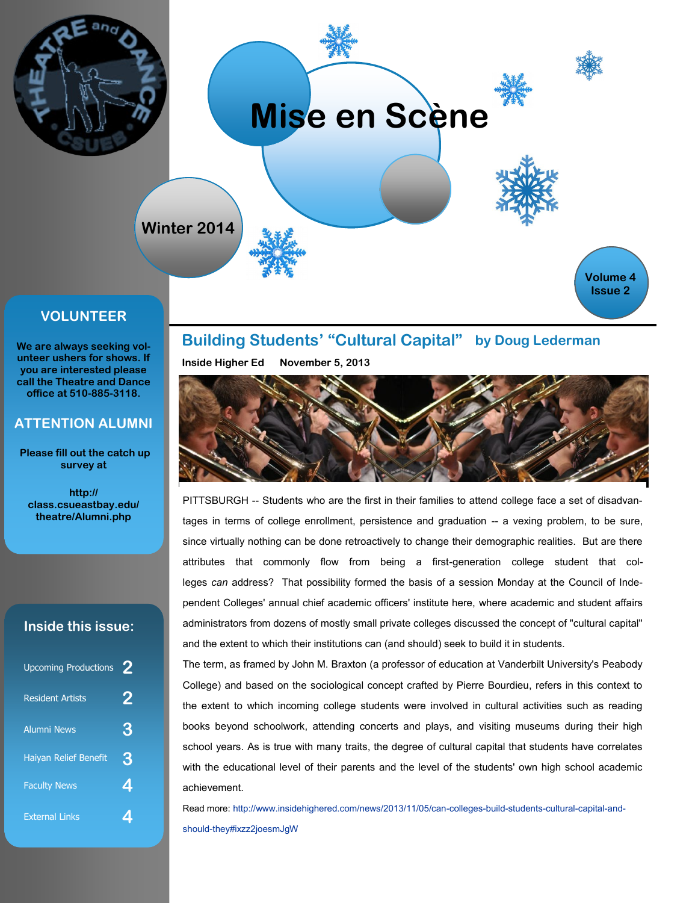

### **VOLUNTEER**

**We are always seeking volunteer ushers for shows. If you are interested please call the Theatre and Dance office at 510-885-3118.** 

#### **ATTENTION ALUMNI**

 **Please fill out the catch up survey at** 

**http:// class.csueastbay.edu/ theatre/Alumni.php**

## **Inside this issue:**

| <b>Upcoming Productions</b>  | 2 |
|------------------------------|---|
| <b>Resident Artists</b>      | 2 |
| <b>Alumni News</b>           | 3 |
| <b>Haiyan Relief Benefit</b> | 3 |
| <b>Faculty News</b>          | 4 |
| <b>External Links</b>        |   |

**Building Students' "Cultural Capital" by [Doug Lederman](http://www.insidehighered.com/users/doug-lederman)**

**Inside Higher Ed November 5, 2013** 



PITTSBURGH -- Students who are the first in their families to attend college face a set of disadvantages in terms of college enrollment, persistence and graduation -- a vexing problem, to be sure, since virtually nothing can be done retroactively to change their demographic realities. But are there attributes that commonly flow from being a first-generation college student that colleges *can* address? That possibility formed the basis of a session Monday at the Council of Independent Colleges' annual [chief academic officers' institute here,](http://www.cic.org/meetings-and-events/Annual-Conferences/CAO-Institute/2013-CAO-Institute/Pages/default.aspx) where academic and student affairs administrators from dozens of mostly small private colleges discussed the concept of "cultural capital" and the extent to which their institutions can (and should) seek to build it in students.

The term, as framed by John M. Braxton (a professor of education at Vanderbilt University's Peabody College) and based on the sociological concept crafted by Pierre Bourdieu, refers in this context to the extent to which incoming college students were involved in cultural activities such as reading books beyond schoolwork, attending concerts and plays, and visiting museums during their high school years. As is true with many traits, the degree of cultural capital that students have correlates with the educational level of their parents and the level of the students' own high school academic achievement.

Read more: [http://www.insidehighered.com/news/2013/11/05/can-colleges-build-students-cultural-capital-and](http://www.insidehighered.com/news/2013/11/05/can-colleges-build-students-cultural-capital-and-should-they#ixzz2joesmJgW)[should-they#ixzz2joesmJgW](http://www.insidehighered.com/news/2013/11/05/can-colleges-build-students-cultural-capital-and-should-they#ixzz2joesmJgW)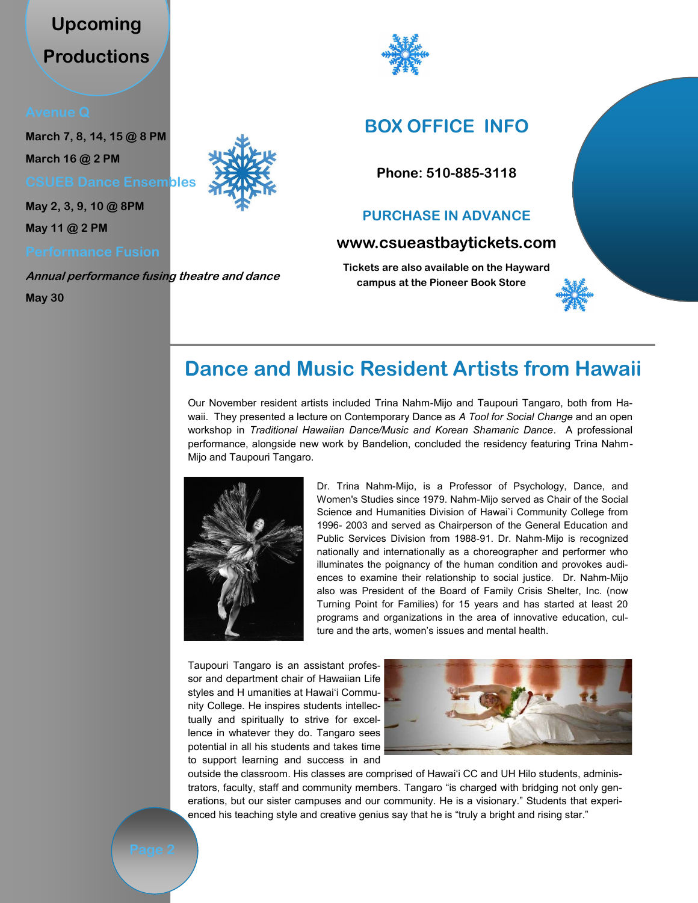# **Upcoming Productions**

**March 7, 8, 14, 15 @ 8 PM March 16 @ 2 PM** 

**CSUEB Dance Ensembles**

**May 2, 3, 9, 10 @ 8PM** 

**May 11 @ 2 PM** 

**Annual performance fusing theatre and dance** 

**May 30**





## **BOX OFFICE INFO**

**Phone: 510-885-3118** 

## **PURCHASE IN ADVANCE**

## **www.csueastbaytickets.com**

**Tickets are also available on the Hayward campus at the Pioneer Book Store**



Our November resident artists included Trina Nahm-Mijo and Taupouri Tangaro, both from Hawaii. They presented a lecture on Contemporary Dance as *A Tool for Social Change* and an open workshop in *Traditional Hawaiian Dance/Music and Korean Shamanic Dance*. A professional performance, alongside new work by Bandelion, concluded the residency featuring Trina Nahm-Mijo and Taupouri Tangaro.



Dr. Trina Nahm-Mijo, is a Professor of Psychology, Dance, and Women's Studies since 1979. Nahm-Mijo served as Chair of the Social Science and Humanities Division of Hawai`i Community College from 1996- 2003 and served as Chairperson of the General Education and Public Services Division from 1988-91. Dr. Nahm-Mijo is recognized nationally and internationally as a choreographer and performer who illuminates the poignancy of the human condition and provokes audiences to examine their relationship to social justice. Dr. Nahm-Mijo also was President of the Board of Family Crisis Shelter, Inc. (now Turning Point for Families) for 15 years and has started at least 20 programs and organizations in the area of innovative education, culture and the arts, women's issues and mental health.

Taupouri Tangaro is an assistant professor and department chair of Hawaiian Life styles and H umanities at Hawai'i Community College. He inspires students intellectually and spiritually to strive for excellence in whatever they do. Tangaro sees potential in all his students and takes time to support learning and success in and



outside the classroom. His classes are comprised of Hawai'i CC and UH Hilo students, administrators, faculty, staff and community members. Tangaro "is charged with bridging not only generations, but our sister campuses and our community. He is a visionary." Students that experienced his teaching style and creative genius say that he is "truly a bright and rising star."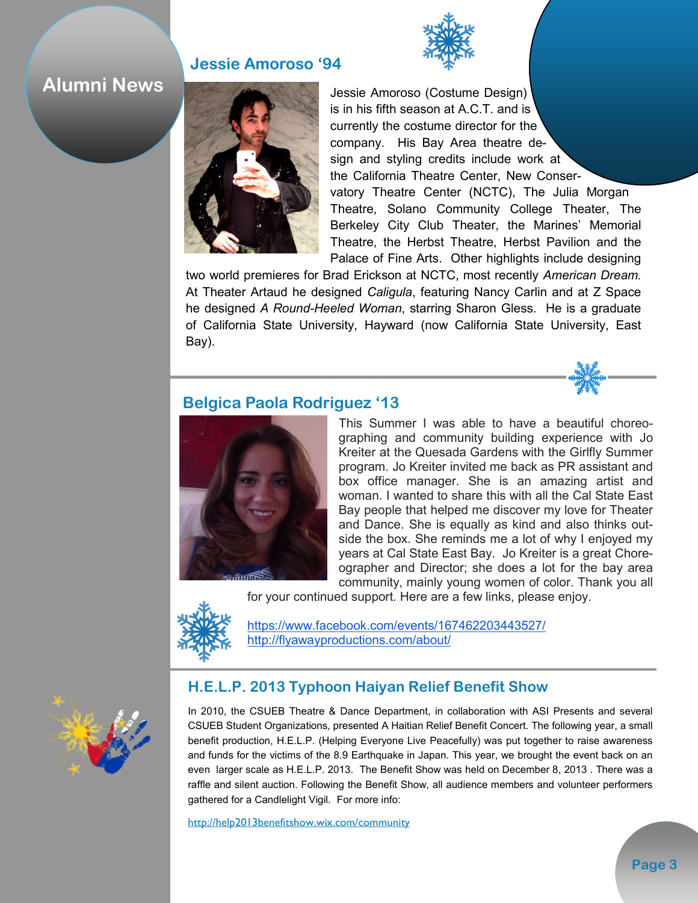## **Jessie Amoroso '94**

## **Alumni News**



Jessie Amoroso (Costume Design) is in his fifth season at A.C.T. and is currently the costume director for the company. His Bay Area theatre design and styling credits include work at the California Theatre Center, New Conservatory Theatre Center (NCTC), The Julia Morgan Theatre, Solano Community College Theater, The Berkeley City Club Theater, the Marines' Memorial Theatre, the Herbst Theatre, Herbst Pavilion and the Palace of Fine Arts. Other highlights include designing

two world premieres for Brad Erickson at NCTC, most recently *American Dream.*  At Theater Artaud he designed *Caligula*, featuring Nancy Carlin and at Z Space he designed *A Round-Heeled Woman*, starring Sharon Gless. He is a graduate of California State University, Hayward (now California State University, East Bay).



## **Belgica Paola Rodriguez '13**



This Summer I was able to have a beautiful choreographing and community building experience with Jo Kreiter at the Quesada Gardens with the Girlfly Summer program. Jo Kreiter invited me back as PR assistant and box office manager. She is an amazing artist and woman. I wanted to share this with all the Cal State East Bay people that helped me discover my love for Theater and Dance. She is equally as kind and also thinks outside the box. She reminds me a lot of why I enjoyed my years at Cal State East Bay. Jo Kreiter is a great Choreographer and Director; she does a lot for the bay area community, mainly young women of color. Thank you all



<https://www.facebook.com/events/167462203443527/> <http://flyawayproductions.com/about/>

## **H.E.L.P. 2013 Typhoon Haiyan Relief Benefit Show**

In 2010, the CSUEB Theatre & Dance Department, in collaboration with ASI Presents and several CSUEB Student Organizations, presented A Haitian Relief Benefit Concert. The following year, a small benefit production, H.E.L.P. (Helping Everyone Live Peacefully) was put together to raise awareness and funds for the victims of the 8.9 Earthquake in Japan. This year, we brought the event back on an even larger scale as H.E.L.P. 2013. The Benefit Show was held on December 8, 2013 . There was a raffle and silent auction. Following the Benefit Show, all audience members and volunteer performers gathered for a Candlelight Vigil. For more info:

<http://help2013benefitshow.wix.com/community>

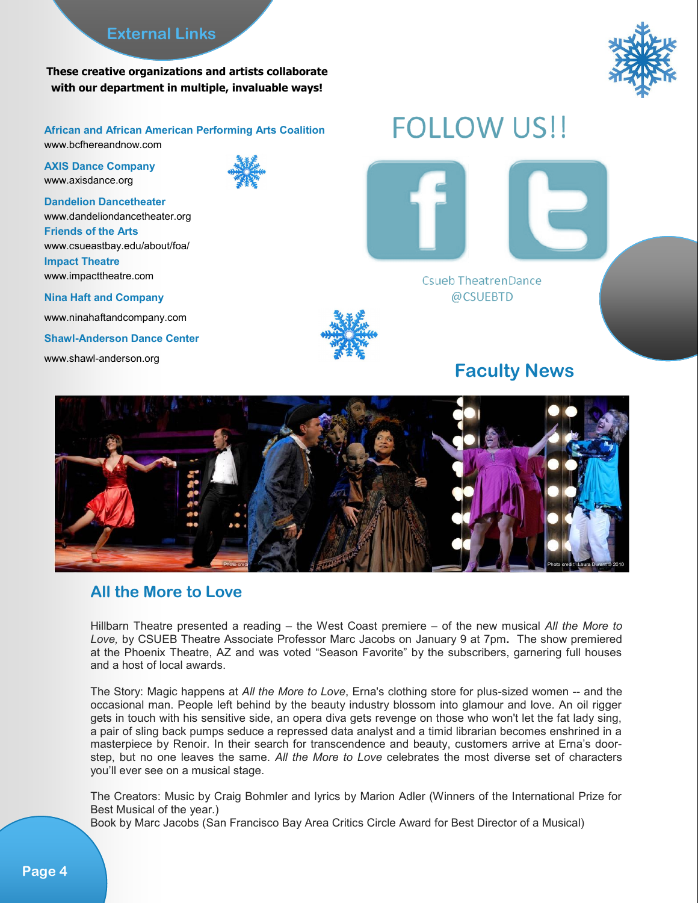## **External Links**

**These creative organizations and artists collaborate with our department in multiple, invaluable ways!**



**African and African American Performing Arts Coalition** www.bcfhereandnow.com

**AXIS Dance Company** www.axisdance.org

**Dandelion Dancetheater** www.dandeliondancetheater.org **Friends of the Arts** www.csueastbay.edu/about/foa/ **Impact Theatre** www.impacttheatre.com

**Nina Haft and Company**

www.ninahaftandcompany.com

**Shawl-Anderson Dance Center** 

[www.shawl-anderson.org](http://shawl-anderson.org) 





**Csueb TheatrenDance** @CSUEBTD

## **Faculty News**



## **All the More to Love**

Hillbarn Theatre presented a reading – the West Coast premiere – of the new musical *All the More to Love,* by CSUEB Theatre Associate Professor Marc Jacobs on January 9 at 7pm**.** The show premiered at the Phoenix Theatre, AZ and was voted "Season Favorite" by the subscribers, garnering full houses and a host of local awards.

The Story: Magic happens at *All the More to Love*, Erna's clothing store for plus-sized women -- and the occasional man. People left behind by the beauty industry blossom into glamour and love. An oil rigger gets in touch with his sensitive side, an opera diva gets revenge on those who won't let the fat lady sing, a pair of sling back pumps seduce a repressed data analyst and a timid librarian becomes enshrined in a masterpiece by Renoir. In their search for transcendence and beauty, customers arrive at Erna's doorstep, but no one leaves the same. *All the More to Love* celebrates the most diverse set of characters you'll ever see on a musical stage.

The Creators: Music by Craig Bohmler and lyrics by Marion Adler (Winners of the International Prize for Best Musical of the year.)

Book by Marc Jacobs (San Francisco Bay Area Critics Circle Award for Best Director of a Musical)